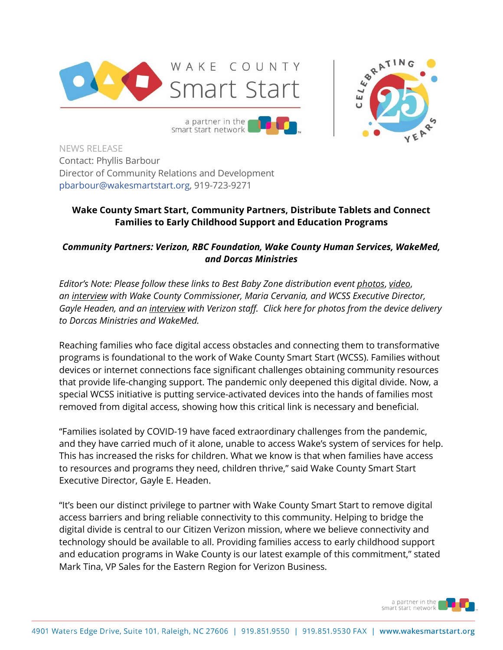



smart start network NEWS RELEASE Contact: Phyllis Barbour

Director of Community Relations and Development [pbarbour@wakesmartstart.org,](mailto:pbarbour@wakesmartstart.org) 919-723-9271

## **Wake County Smart Start, Community Partners, Distribute Tablets and Connect Families to Early Childhood Support and Education Programs**

## *Community Partners: Verizon, RBC Foundation, Wake County Human Services, WakeMed, and Dorcas Ministries*

*Editor's Note: Please follow these links to Best Baby Zone distribution event [photos](https://u7061146.ct.sendgrid.net/ls/click?upn=4tNED-2FM8iDZJQyQ53jATUTPvhRKMiRtNkT-2BDOWHhIUfqvTnXaLO05qTT0SCy12Mprrauh0tQmfot1v9FtNUvs6TV3KntIQZAnOfio1YK6p5XOVo2x3-2B7iDYG19RrBzJBCOJ5GOs3rVNhjGo1x7N677EDPUoJXtdaVKAfxbtDM9YykMzHvuKnix552jfavd7SwvzadU-2FfEXxy1DWD2bEcvlW7UxNl-2B-2BpImhoAtFCkxFe-2FeznRBsBFKAVsc2TmMcngCfYm-2B-2Bxy1gBsIbQKv5exUIVroJuSUDDeJOXc6XV3p14Q-2FFiqvO3fJNYSMRQHTQy6aNtcZgK2LWwIWCfz5VfNnzvm2PkRrPk3-2Fj5dSAMRNX8V-2F-2B8pIPT8Lb7dSEIMvYML7FJOva4NNm3CP0iJLQbyC8TRt89MpeZUhOGQBtQ4jy1fJmxON00Y3vmfzISMK7-2BVbpwVvtdJzHrsqM89gB2Xif2-2BoaVfxC7dAgfQ6suRrc2om7mGGCCsGJXxxzLMtFIs6e2lwh8yXJKjfZwIYBxQPtALNEo-2FnRPQoF7Zs-2FCtshHM9KV6PPqlO0MRe0JFACCZHvWR_fHijJX2SUv9t4-2Fo-2Ffdg9v7cUG3QNa7elTJbUf4pSuPt97fxBmZzAIRfiwyDc9UdbsC2GhX29leIAGhLi0zaCrS6hgHESwGOCbY0e9yKJZfQ-2BnHp2HrCDLHIZaWVJvBKPJfjYLDctmzjITNQISdk-2FR3yeNs-2Bs1GklqHPQkr2ytVPqrgfs18JnMW9DJnd2pXhVkTF41fkJEL4EIjpW-2B2Ea-2F5bgj7wP5LF7DSMmtg0TDaiLfT7vwgjsuqn0eCvZgplk1E2Ge7hKFC7OInN6KgClWOpxRLU8v5yBrkOV-2FuhftNW1giMO4r6CJA7CJi-2FZnZXiZkhA5LJtihrd-2F0AHnMcmJshmyXnMk2FB9QFqLf6jIi4-3D)*, *[video](https://u7061146.ct.sendgrid.net/ls/click?upn=4tNED-2FM8iDZJQyQ53jATUTPvhRKMiRtNkT-2BDOWHhIUfqvTnXaLO05qTT0SCy12Mprrauh0tQmfot1v9FtNUvs6TV3KntIQZAnOfio1YK6p5XOVo2x3-2B7iDYG19RrBzJBvPuEPPqlLE1Qfc4bF0iuleKlbvnuiDQr-2FwjGoxn5N-2F7-2BV-2B1UyzEd6Slj1G8anK-2BMGiqojMPfvctxhJ-2F9fiQPKe-2FrNn0qASaVpFK9gT7Ks1VUgSNN1lzASpw8-2Fj6grTAfMzVtaWQNbuZDPsEfN07HhvmBB2EstYrBmhwZMo27vx46SbWqiuDoSDAXjF7wclBJcy6Re1H8FlQ3TB7OlNEtEbdWgrWxynMdI4TBNHRhAPcT4hiLgIhSM-2BBiT2c3kqlfzIqUgqrOHxAFwExDTy5UlpfatiSqopwhjwWCd2QVYbfPZ8bw9u0jq4-2FDbj7RNy70D9IiVFsolit1D9YyUK87lOpteQBFv4YdCpIOnRzqp03d2zCcjuRYqQjh0HndGcD-2Fw5-2B9CtKL7QGF-2BlmW5RXorxVtsfFTai47BpwPr3QRikwfyJlwvStWnCB9ES4ZHt9gA3-W_fHijJX2SUv9t4-2Fo-2Ffdg9v7cUG3QNa7elTJbUf4pSuPt97fxBmZzAIRfiwyDc9UdbsC2GhX29leIAGhLi0zaCrS6hgHESwGOCbY0e9yKJZfQ-2BnHp2HrCDLHIZaWVJvBKPJfjYLDctmzjITNQISdk-2FR3yeNs-2Bs1GklqHPQkr2ytVPqrgfs18JnMW9DJnd2pXhVkTF41fkJEL4EIjpW-2B2Ea-2F3qNGgtwv15BwVHD88t-2FEkLqD7FhjGP2OlL5yDBI2kfW70Q6hWEXfCW9cfqu9qDd6hAPioerEfItOxQPxzMFDYzk-2FjcIZ3-2F4cGfiRDgwOJT-2BTPRUPoQtWBt-2BlK41VaN1mIrzB61VCH0F3hjf17-2FAVMw-3D)*, *an [interview](https://u7061146.ct.sendgrid.net/ls/click?upn=4tNED-2FM8iDZJQyQ53jATUTPvhRKMiRtNkT-2BDOWHhIUfqvTnXaLO05qTT0SCy12Mprrauh0tQmfot1v9FtNUvs6TV3KntIQZAnOfio1YK6p5XOVo2x3-2B7iDYG19RrBzJBLDkvmHRbFSyN-2FRRqHTzrKf8KfpQuRhBVZkE-2BL6pvt4oTGHXk0J7p6jKj66XEro70-2BfEmktodOuhbs0GI0Qy2BPHOGr6K6hT3k5mjDv5LgDK50hKEz3hEpK2gZrndpl-2F9m2Rmejz3JKSuxwnHFEUTw8WOH3B-2B8-2BFgjjoT7-2FbmdNcKNe6RC5g8LGkF7cT3rnFviOHaaDQGDg8p4YKl7Rm57nOXrOlafB3Kx684O-2FX0FhGvKym4yJk45Lye8CQIdzfT35Du5RyOmtvHMpGXig7RNkUgvrwfinqA-2FFtqVDYnwZiAi8r-2FrJ-2FQF0xp8QzRMJfO2k2HDqeuZvau5a76TPYSop-2BI1o8HOuBzgNWoltM0JE7bpSaMvuDZsi2QE4ZA0jastobNWjoRuj5X2EQXGio7pLRFLEB6RM2RdG7KFQPV-2FfoGPNwpxnp1twNr-2BTmrqjkC4-AD_fHijJX2SUv9t4-2Fo-2Ffdg9v7cUG3QNa7elTJbUf4pSuPt97fxBmZzAIRfiwyDc9UdbsC2GhX29leIAGhLi0zaCrS6hgHESwGOCbY0e9yKJZfQ-2BnHp2HrCDLHIZaWVJvBKPJfjYLDctmzjITNQISdk-2FR3yeNs-2Bs1GklqHPQkr2ytVPqrgfs18JnMW9DJnd2pXhVkTF41fkJEL4EIjpW-2B2Ea-2F8j3rIv-2FqPLzE2nzvA2xhA8v-2FmdMiP7WsX49fUPHFpc9-2Be2lFptQ4k7z0uxXKbYZ4kJVJZ1TXqUg4EFvkxkkDZe0rLNsqcbASmbKpct-2Fe1BQ-2BiKuDuX0UD-2Bo5SuUACK9gdKrBTkgfDj1LjeTFc-2BJLp0-3D) with Wake County Commissioner, Maria Cervania, and WCSS Executive Director, Gayle Headen, and an [interview](https://u7061146.ct.sendgrid.net/ls/click?upn=4tNED-2FM8iDZJQyQ53jATUTPvhRKMiRtNkT-2BDOWHhIUfqvTnXaLO05qTT0SCy12Mprrauh0tQmfot1v9FtNUvs6TV3KntIQZAnOfio1YK6p5XOVo2x3-2B7iDYG19RrBzJBuePnmI5fdA9eaTC90GQ-2FFXMI-2BMNPRUxeaRzWKyUESWf1u97ciUI8ddqCIwOKDS2-2FOXwVdsTjXHo0IbSBf31Da-2BAge53oVVxRbko8beMWpQvFQlNrIQ3tsvbC9iGOOcqfFHvf0aSmtfSWNOiPViw3ueV01L37ZO-2BWPLg-2Bekj4h7R-2FKZruzthEEDivjkX-2Fpfau3jUn4HWJaWPira-2FlgS4rjHxWo0j7fA7WuiUk0sF2QLra0MkHSZHp2riL5CNAiGY0T1AKxfV9ZBLMzynuXwMCNMkj-2FJmzjYeupNGpbDVLJ1U0rEW76RpIXu6v58WqjZc5xfijXRDdua6gucdGXtTJYazgnV-2BOzIaVuMOEfIc0Oayvx-2BCXjHbU3GpBqR7PJcp902acL26E7oR7cLC5QG5k9PQIXDdrBZOnn-2BklIhkhWepcgip90RgIaDKlDFoeKsnwNqTg_fHijJX2SUv9t4-2Fo-2Ffdg9v7cUG3QNa7elTJbUf4pSuPt97fxBmZzAIRfiwyDc9UdbsC2GhX29leIAGhLi0zaCrS6hgHESwGOCbY0e9yKJZfQ-2BnHp2HrCDLHIZaWVJvBKPJfjYLDctmzjITNQISdk-2FR3yeNs-2Bs1GklqHPQkr2ytVPqrgfs18JnMW9DJnd2pXhVkTF41fkJEL4EIjpW-2B2Ea-2F5TWzejhB1pvjEVaAYoJx-2FShqyF0TR0Ed4Fuwzi146-2FPY3-2FlcumKFiTWmwVL0N9pq8By4A5vFld4042Gi6FUlxAE91lVyj2ZUvQPtBJEbbW-2FA11ANKg4m66qU5-2Fb5A7QYxonE1IIegBJ1-2BxF7fw963o-3D) with Verizon staff. [Click here](https://drive.google.com/drive/folders/1mJ3MQOV_yVYFRAsV4UJ3p2puEO9Wpw-_?usp=sharing) for photos from the device delivery to Dorcas Ministries and WakeMed.*

Reaching families who face digital access obstacles and connecting them to transformative programs is foundational to the work of Wake County Smart Start (WCSS). Families without devices or internet connections face significant challenges obtaining community resources that provide life-changing support. The pandemic only deepened this digital divide. Now, a special WCSS initiative is putting service-activated devices into the hands of families most removed from digital access, showing how this critical link is necessary and beneficial.

"Families isolated by COVID-19 have faced extraordinary challenges from the pandemic, and they have carried much of it alone, unable to access Wake's system of services for help. This has increased the risks for children. What we know is that when families have access to resources and programs they need, children thrive," said Wake County Smart Start Executive Director, Gayle E. Headen.

"It's been our distinct privilege to partner with Wake County Smart Start to remove digital access barriers and bring reliable connectivity to this community. Helping to bridge the digital divide is central to our Citizen Verizon mission, where we believe connectivity and technology should be available to all. Providing families access to early childhood support and education programs in Wake County is our latest example of this commitment," stated Mark Tina, VP Sales for the Eastern Region for Verizon Business.

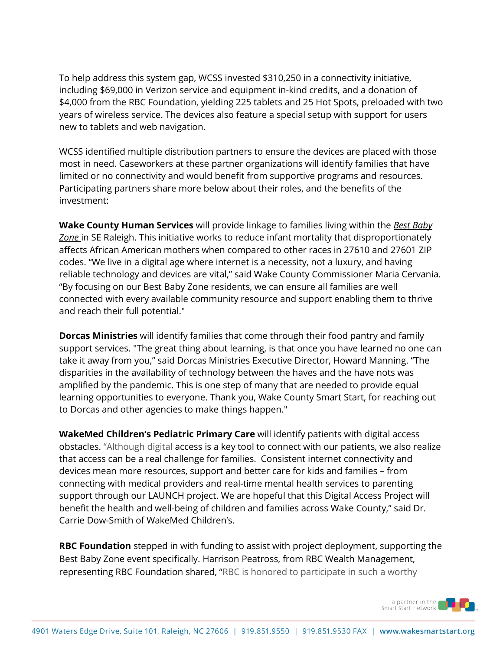To help address this system gap, WCSS invested \$310,250 in a connectivity initiative, including \$69,000 in Verizon service and equipment in-kind credits, and a donation of \$4,000 from the RBC Foundation, yielding 225 tablets and 25 Hot Spots, preloaded with two years of wireless service. The devices also feature a special setup with support for users new to tablets and web navigation.

WCSS identified multiple distribution partners to ensure the devices are placed with those most in need. Caseworkers at these partner organizations will identify families that have limited or no connectivity and would benefit from supportive programs and resources. Participating partners share more below about their roles, and the benefits of the investment:

**Wake County Human Services** will provide linkage to families living within the *[Best Baby](https://u7061146.ct.sendgrid.net/ls/click?upn=4tNED-2FM8iDZJQyQ53jATUcxkTTgsvga1USez6nUCs241jvqES1hw6Oe6oAMCa481geQpX-2FuSn2Jbur9fB8znWFE78q09zSSBv1aMbY6uJOamWJLL-2BPyRg5SmFYsJUAFMxfKuYg9KmPnb-2FGCYVJRithHjN3-2FDGOH49SvCXRMQ8HY-3DEYNP_fHijJX2SUv9t4-2Fo-2Ffdg9v7cUG3QNa7elTJbUf4pSuPt97fxBmZzAIRfiwyDc9UdbsC2GhX29leIAGhLi0zaCrS6hgHESwGOCbY0e9yKJZfQ-2BnHp2HrCDLHIZaWVJvBKPJfjYLDctmzjITNQISdk-2FR3yeNs-2Bs1GklqHPQkr2ytVPqrgfs18JnMW9DJnd2pXhVkTF41fkJEL4EIjpW-2B2Ea-2FxTNHICv-2F-2FMJVWEtNp8nVc9FE9RB6gO51UtSONUoLn7omsrfli9GrlUFlHAt2PywwESVY5hDCbcXDHNnZ4RscOoUH9h6CMEOVLcW9fWSwHfEAS9rRpx5hvpq-2Bz9KCvdjtveRQyWSwllWs7vnVDz4VeQ-3D)  [Zone](https://u7061146.ct.sendgrid.net/ls/click?upn=4tNED-2FM8iDZJQyQ53jATUcxkTTgsvga1USez6nUCs241jvqES1hw6Oe6oAMCa481geQpX-2FuSn2Jbur9fB8znWFE78q09zSSBv1aMbY6uJOamWJLL-2BPyRg5SmFYsJUAFMxfKuYg9KmPnb-2FGCYVJRithHjN3-2FDGOH49SvCXRMQ8HY-3DEYNP_fHijJX2SUv9t4-2Fo-2Ffdg9v7cUG3QNa7elTJbUf4pSuPt97fxBmZzAIRfiwyDc9UdbsC2GhX29leIAGhLi0zaCrS6hgHESwGOCbY0e9yKJZfQ-2BnHp2HrCDLHIZaWVJvBKPJfjYLDctmzjITNQISdk-2FR3yeNs-2Bs1GklqHPQkr2ytVPqrgfs18JnMW9DJnd2pXhVkTF41fkJEL4EIjpW-2B2Ea-2FxTNHICv-2F-2FMJVWEtNp8nVc9FE9RB6gO51UtSONUoLn7omsrfli9GrlUFlHAt2PywwESVY5hDCbcXDHNnZ4RscOoUH9h6CMEOVLcW9fWSwHfEAS9rRpx5hvpq-2Bz9KCvdjtveRQyWSwllWs7vnVDz4VeQ-3D)* in SE Raleigh. This initiative works to reduce infant mortality that disproportionately affects African American mothers when compared to other races in 27610 and 27601 ZIP codes. "We live in a digital age where internet is a necessity, not a luxury, and having reliable technology and devices are vital," said Wake County Commissioner Maria Cervania. "By focusing on our Best Baby Zone residents, we can ensure all families are well connected with every available community resource and support enabling them to thrive and reach their full potential."

**Dorcas Ministries** will identify families that come through their food pantry and family support services. "The great thing about learning, is that once you have learned no one can take it away from you," said Dorcas Ministries Executive Director, Howard Manning. "The disparities in the availability of technology between the haves and the have nots was amplified by the pandemic. This is one step of many that are needed to provide equal learning opportunities to everyone. Thank you, Wake County Smart Start, for reaching out to Dorcas and other agencies to make things happen."

**WakeMed Children's Pediatric Primary Care** will identify patients with digital access obstacles. "Although digital access is a key tool to connect with our patients, we also realize that access can be a real challenge for families. Consistent internet connectivity and devices mean more resources, support and better care for kids and families – from connecting with medical providers and real-time mental health services to parenting support through our LAUNCH project. We are hopeful that this Digital Access Project will benefit the health and well-being of children and families across Wake County," said Dr. Carrie Dow-Smith of WakeMed Children's.

**RBC Foundation** stepped in with funding to assist with project deployment, supporting the Best Baby Zone event specifically. Harrison Peatross, from RBC Wealth Management, representing RBC Foundation shared, "RBC is honored to participate in such a worthy